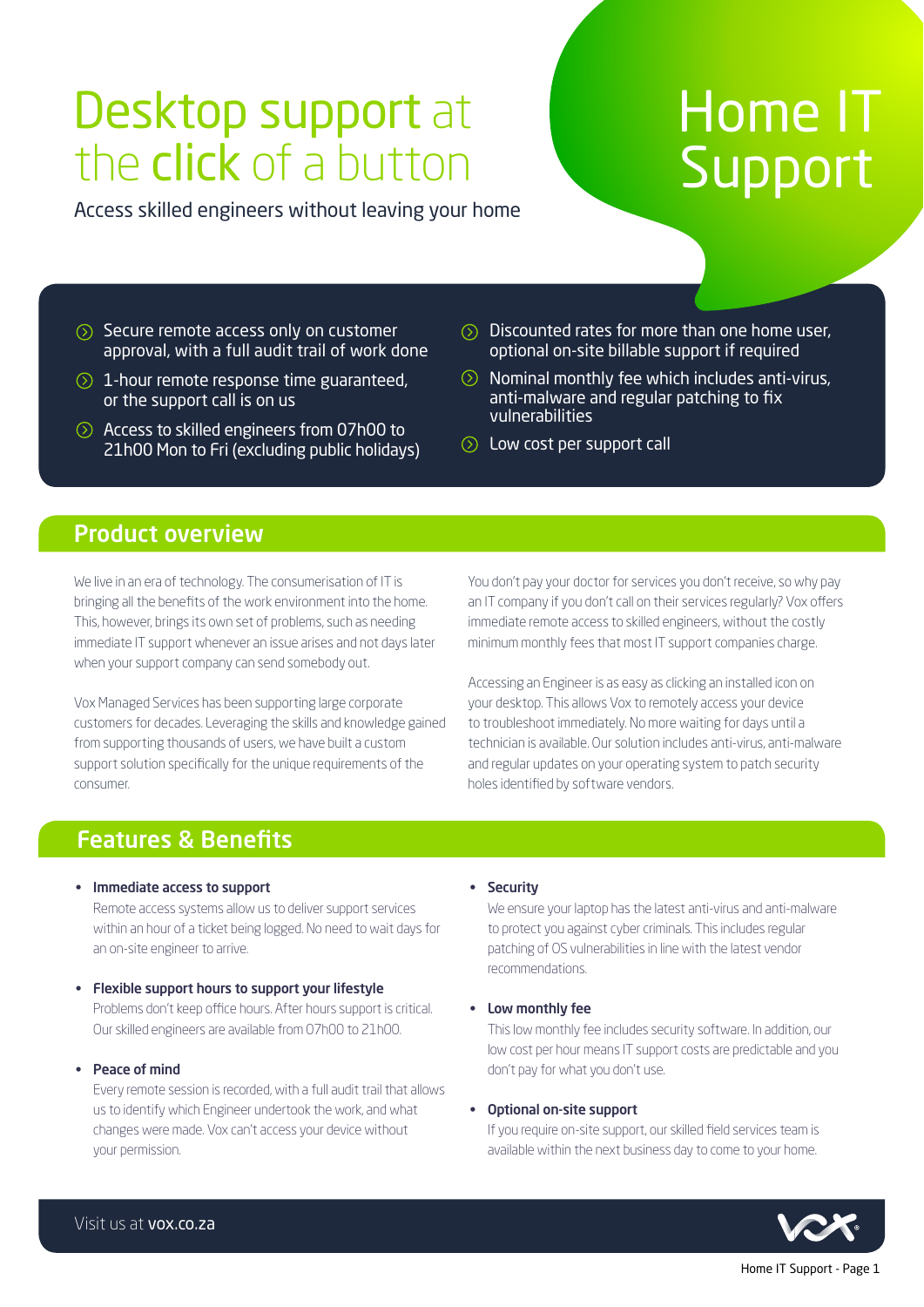## Desktop support at the click of a button

Access skilled engineers without leaving your home

# Home IT **Support**

- $\circled{S}$  Secure remote access only on customer approval, with a full audit trail of work done
- $\odot$  1-hour remote response time guaranteed, or the support call is on us
- Access to skilled engineers from 07h00 to 21h00 Mon to Fri (excluding public holidays)
- $\odot$  Discounted rates for more than one home user, optional on-site billable support if required
- $\odot$  Nominal monthly fee which includes anti-virus, anti-malware and regular patching to fix vulnerabilities
- **Example 1** Low cost per support call

## Product overview

We live in an era of technology. The consumerisation of IT is bringing all the benefits of the work environment into the home. This, however, brings its own set of problems, such as needing immediate IT support whenever an issue arises and not days later when your support company can send somebody out.

Vox Managed Services has been supporting large corporate customers for decades. Leveraging the skills and knowledge gained from supporting thousands of users, we have built a custom support solution specifically for the unique requirements of the consumer.

You don't pay your doctor for services you don't receive, so why pay an IT company if you don't call on their services regularly? Vox offers immediate remote access to skilled engineers, without the costly minimum monthly fees that most IT support companies charge.

Accessing an Engineer is as easy as clicking an installed icon on your desktop. This allows Vox to remotely access your device to troubleshoot immediately. No more waiting for days until a technician is available. Our solution includes anti-virus, anti-malware and regular updates on your operating system to patch security holes identified by software vendors.

## Features & Benefits

• Immediate access to support

Remote access systems allow us to deliver support services within an hour of a ticket being logged. No need to wait days for an on-site engineer to arrive.

- Flexible support hours to support your lifestyle Problems don't keep office hours. After hours support is critical. Our skilled engineers are available from 07h00 to 21h00.
- Peace of mind

Every remote session is recorded, with a full audit trail that allows us to identify which Engineer undertook the work, and what changes were made. Vox can't access your device without your permission.

#### • Security

We ensure your laptop has the latest anti-virus and anti-malware to protect you against cyber criminals. This includes regular patching of OS vulnerabilities in line with the latest vendor recommendations.

• Low monthly fee

This low monthly fee includes security software. In addition, our low cost per hour means IT support costs are predictable and you don't pay for what you don't use.

#### • Optional on-site support

If you require on-site support, our skilled field services team is available within the next business day to come to your home.